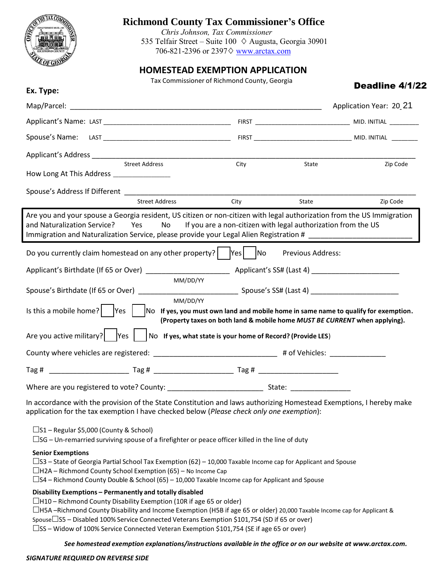

## **Richmond County Tax Commissioner's Office**

*T. Chris Johnson, Tax Commissioner* 535 Telfair Street – Suite 100  $\Diamond$  Augusta, Georgia 30901 706-821-2396 or 2397 $\diamond$  www.arctax.com

## **HOMESTEAD EXEMPTION APPLICATION**

Tax Commissioner of Richmond County, Georgia

| Ex. Type:                                                                                                                                                                                                                                                                                 | Tax Commissioner of Richmond County, Georgia                               |                          | Deadline 4/1/22                    |
|-------------------------------------------------------------------------------------------------------------------------------------------------------------------------------------------------------------------------------------------------------------------------------------------|----------------------------------------------------------------------------|--------------------------|------------------------------------|
|                                                                                                                                                                                                                                                                                           |                                                                            |                          | Application Year: 20 <sub>21</sub> |
|                                                                                                                                                                                                                                                                                           |                                                                            |                          |                                    |
|                                                                                                                                                                                                                                                                                           |                                                                            |                          |                                    |
|                                                                                                                                                                                                                                                                                           |                                                                            |                          |                                    |
| <b>Street Address</b><br>How Long At This Address _________________                                                                                                                                                                                                                       | City                                                                       | State                    | Zip Code                           |
|                                                                                                                                                                                                                                                                                           |                                                                            |                          |                                    |
| <b>Street Address</b>                                                                                                                                                                                                                                                                     | City                                                                       | State                    | Zip Code                           |
| Are you and your spouse a Georgia resident, US citizen or non-citizen with legal authorization from the US Immigration<br>and Naturalization Service? Yes<br>No results<br>Immigration and Naturalization Service, please provide your Legal Alien Registration # _______________________ | If you are a non-citizen with legal authorization from the US              |                          |                                    |
| Do you currently claim homestead on any other property? $ $  Yes    No                                                                                                                                                                                                                    |                                                                            | <b>Previous Address:</b> |                                    |
|                                                                                                                                                                                                                                                                                           |                                                                            |                          |                                    |
|                                                                                                                                                                                                                                                                                           | MM/DD/YY<br>MM/DD/YY                                                       |                          |                                    |
| Is this a mobile home? $\vert$ $\vert$ Yes $\vert$ $\vert$ No If yes, you must own land and mobile home in same name to qualify for exemption.                                                                                                                                            | (Property taxes on both land & mobile home MUST BE CURRENT when applying). |                          |                                    |
| Are you active military? $ $ Yes                                                                                                                                                                                                                                                          | No If yes, what state is your home of Record? (Provide LES)                |                          |                                    |
| County where vehicles are registered: ________________________________# of Vehicles: ______________                                                                                                                                                                                       |                                                                            |                          |                                    |
|                                                                                                                                                                                                                                                                                           |                                                                            |                          |                                    |
|                                                                                                                                                                                                                                                                                           |                                                                            |                          |                                    |
| In accordance with the provision of the State Constitution and laws authorizing Homestead Exemptions, I hereby make<br>application for the tax exemption I have checked below (Please check only one exemption):                                                                          |                                                                            |                          |                                    |
| $\square$ S1 – Regular \$5,000 (County & School)<br>$\Box$ SG – Un-remarried surviving spouse of a firefighter or peace officer killed in the line of duty                                                                                                                                |                                                                            |                          |                                    |
| <b>Senior Exemptions</b><br>$\square$ S3 – State of Georgia Partial School Tax Exemption (62) – 10,000 Taxable Income cap for Applicant and Spouse                                                                                                                                        |                                                                            |                          |                                    |

 $\Box$ H2A – Richmond County School Exemption (65) – No Income Cap

 $\square$ S4 – Richmond County Double & School (65) – 10,000 Taxable Income cap for Applicant and Spouse

**Disability Exemptions – Permanently and totally disabled**

 $\Box$ H10 – Richmond County Disability Exemption (10R if age 65 or older)

 $\Box$ H5A –Richmond County Disability and Income Exemption (H5B if age 65 or older) 20,000 Taxable Income cap for Applicant &

 $\square$ S5 – Disabled 100% Service Connected Veterans Exemption \$101,754 (SD if 65 or over)

 $\square$ SS – Widow of 100% Service Connected Veteran Exemption \$101,754 (SE if age 65 or over)

*See homestead exemption explanations/instructions available in the office or on our website at www.arctax.com.*